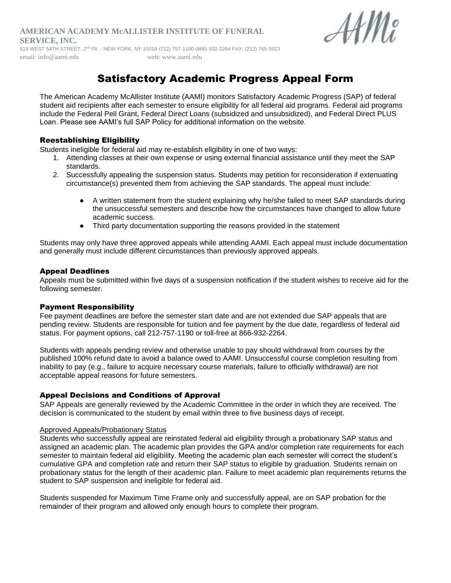#### **AMERICAN ACADEMY McALLISTER INSTITUTE OF FUNERAL SERVICE, INC.** 619 WEST 54TH STREET, 2nd Flr. - NEW YORK, NY 10019 (212) 757-1190 (866) 932-2264 FAX: (212) 765-5923



email: info@aami.edu web: [www.aami.edu](http://www.funeraleducation.org/)

# Satisfactory Academic Progress Appeal Form

The American Academy McAllister Institute (AAMI) monitors Satisfactory Academic Progress (SAP) of federal student aid recipients after each semester to ensure eligibility for all federal aid programs. Federal aid programs include the Federal Pell Grant, Federal Direct Loans (subsidized and unsubsidized), and Federal Direct PLUS Loan. Please see AAMI's full SAP Policy for additional information on the website.

## Reestablishing Eligibility

Students ineligible for federal aid may re-establish eligibility in one of two ways:

- 1. Attending classes at their own expense or using external financial assistance until they meet the SAP standards.
- 2. Successfully appealing the suspension status. Students may petition for reconsideration if extenuating circumstance(s) prevented them from achieving the SAP standards. The appeal must include:
	- A written statement from the student explaining why he/she failed to meet SAP standards during the unsuccessful semesters and describe how the circumstances have changed to allow future academic success.
	- Third party documentation supporting the reasons provided in the statement

Students may only have three approved appeals while attending AAMI. Each appeal must include documentation and generally must include different circumstances than previously approved appeals.

#### Appeal Deadlines

Appeals must be submitted within five days of a suspension notification if the student wishes to receive aid for the following semester.

### Payment Responsibility

Fee payment deadlines are before the semester start date and are not extended due SAP appeals that are pending review. Students are responsible for tuition and fee payment by the due date, regardless of federal aid status. For payment options, call 212-757-1190 or toll-free at 866-932-2264.

Students with appeals pending review and otherwise unable to pay should withdrawal from courses by the published 100% refund date to avoid a balance owed to AAMI. Unsuccessful course completion resulting from inability to pay (e.g., failure to acquire necessary course materials, failure to officially withdrawal) are not acceptable appeal reasons for future semesters.

### Appeal Decisions and Conditions of Approval

SAP Appeals are generally reviewed by the Academic Committee in the order in which they are received. The decision is communicated to the student by email within three to five business days of receipt.

#### Approved Appeals/Probationary Status

Students who successfully appeal are reinstated federal aid eligibility through a probationary SAP status and assigned an academic plan. The academic plan provides the GPA and/or completion rate requirements for each semester to maintain federal aid eligibility. Meeting the academic plan each semester will correct the student's cumulative GPA and completion rate and return their SAP status to eligible by graduation. Students remain on probationary status for the length of their academic plan. Failure to meet academic plan requirements returns the student to SAP suspension and ineligible for federal aid.

Students suspended for Maximum Time Frame only and successfully appeal, are on SAP probation for the remainder of their program and allowed only enough hours to complete their program.